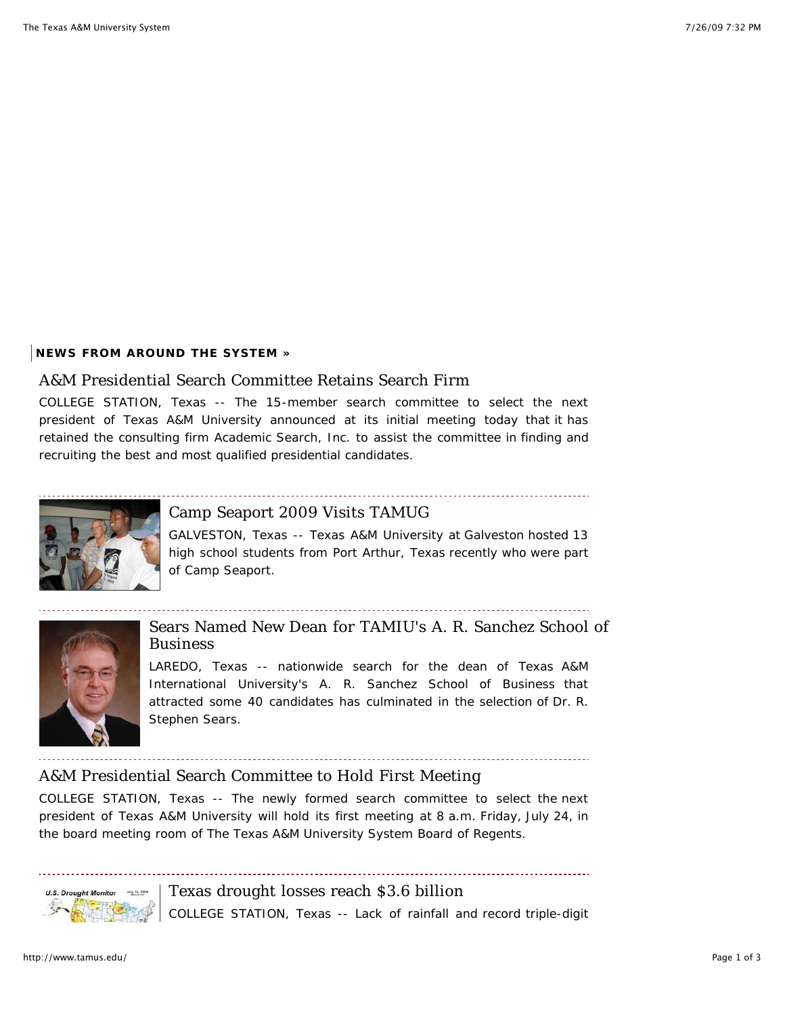#### **NEWS FROM AROUND THE SYSTEM »**

#### A&M Presidential Search Committee Retains Search Firm

COLLEGE STATION, Texas -- The 15-member search committee to select the next president of Texas A&M University announced at its initial meeting today that it has retained the consulting firm Academic Search, Inc. to assist the committee in finding and recruiting the best and most qualified presidential candidates.



## Camp Seaport 2009 Visits TAMUG

GALVESTON, Texas -- Texas A&M University at Galveston hosted 13 high school students from Port Arthur, Texas recently who were part of Camp Seaport.



Sears Named New Dean for TAMIU's A. R. Sanchez School of Business

LAREDO, Texas -- nationwide search for the dean of Texas A&M International University's A. R. Sanchez School of Business that attracted some 40 candidates has culminated in the selection of Dr. R. Stephen Sears.

## A&M Presidential Search Committee to Hold First Meeting

COLLEGE STATION, Texas -- The newly formed search committee to select the next president of Texas A&M University will hold its first meeting at 8 a.m. Friday, July 24, in the board meeting room of The Texas A&M University System Board of Regents.



Texas drought losses reach \$3.6 billion COLLEGE STATION, Texas -- Lack of rainfall and record triple-digit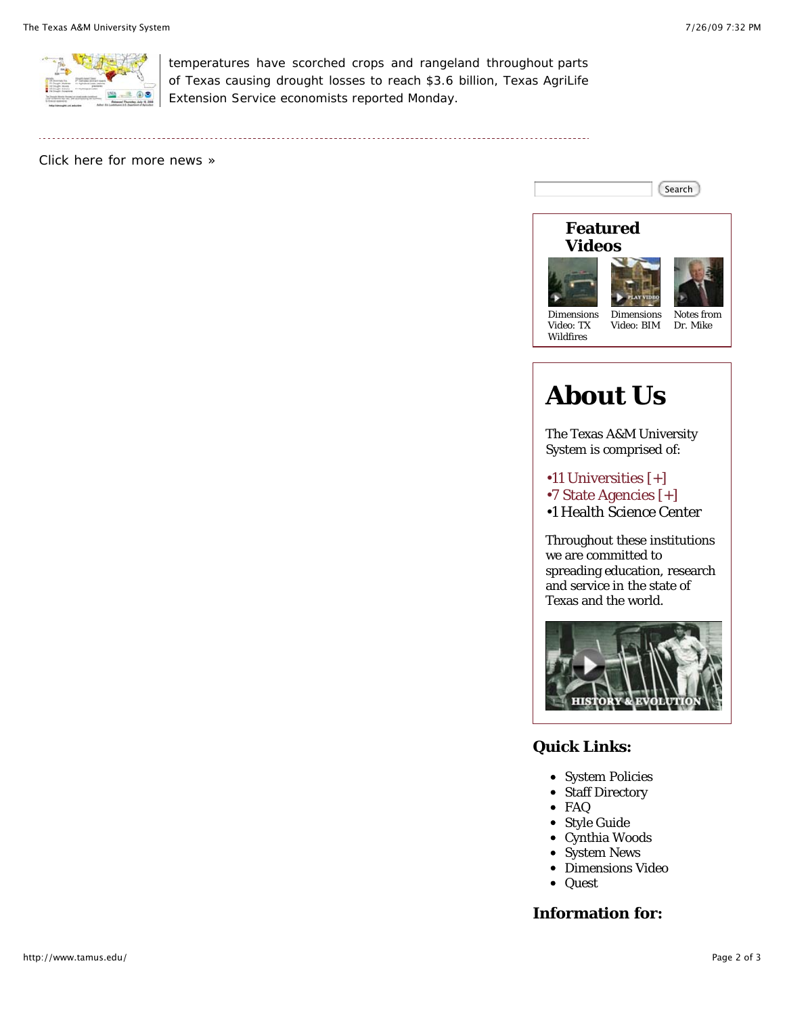

temperatures have scorched crops and rangeland throughout parts of Texas causing drought losses to reach \$3.6 billion, Texas AgriLife Extension Service economists reported Monday.

Click here for more news »



# **About Us**

The Texas A&M University System is comprised of:

•11 Universities [+]

- •7 State Agencies [+]
- •1 Health Science Center

Throughout these institutions we are committed to spreading education, research and service in the state of Texas and the world.



## **Quick Links:**

- System Policies
- Staff Directory
- FAQ  $\bullet$
- Style Guide
- $\bullet$ Cynthia Woods
- System News  $\bullet$
- Dimensions Video
- Quest  $\bullet$

## **Information for:**